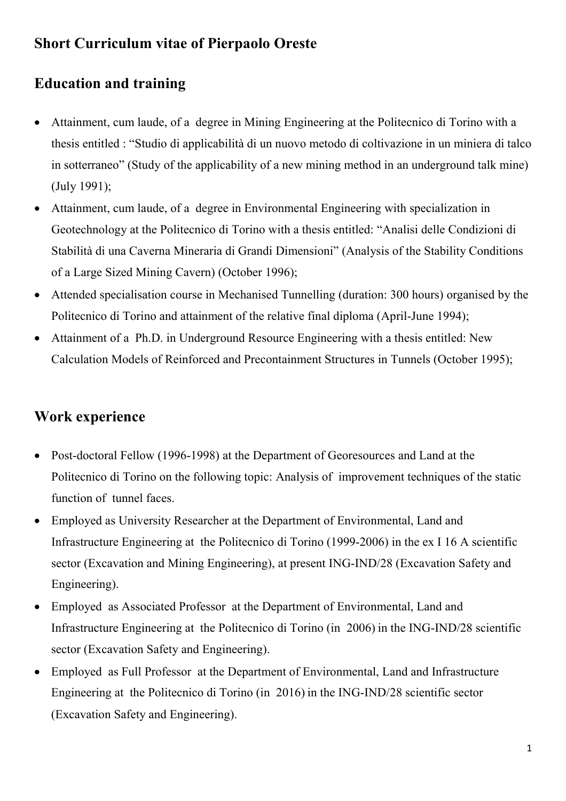## **Short Curriculum vitae of Pierpaolo Oreste**

# **Education and training**

- Attainment, cum laude, of a degree in Mining Engineering at the Politecnico di Torino with a thesis entitled : "Studio di applicabilità di un nuovo metodo di coltivazione in un miniera di talco in sotterraneo" (Study of the applicability of a new mining method in an underground talk mine) (July 1991);
- Attainment, cum laude, of a degree in Environmental Engineering with specialization in Geotechnology at the Politecnico di Torino with a thesis entitled: "Analisi delle Condizioni di Stabilità di una Caverna Mineraria di Grandi Dimensioni" (Analysis of the Stability Conditions of a Large Sized Mining Cavern) (October 1996);
- Attended specialisation course in Mechanised Tunnelling (duration: 300 hours) organised by the Politecnico di Torino and attainment of the relative final diploma (April-June 1994);
- Attainment of a Ph.D. in Underground Resource Engineering with a thesis entitled: New Calculation Models of Reinforced and Precontainment Structures in Tunnels (October 1995);

#### **Work experience**

- Post-doctoral Fellow (1996-1998) at the Department of Georesources and Land at the Politecnico di Torino on the following topic: Analysis of improvement techniques of the static function of tunnel faces.
- Employed as University Researcher at the Department of Environmental, Land and Infrastructure Engineering at the Politecnico di Torino (1999-2006) in the ex I 16 A scientific sector (Excavation and Mining Engineering), at present ING-IND/28 (Excavation Safety and Engineering).
- Employed as Associated Professor at the Department of Environmental, Land and Infrastructure Engineering at the Politecnico di Torino (in 2006) in the ING-IND/28 scientific sector (Excavation Safety and Engineering).
- Employed as Full Professor at the Department of Environmental, Land and Infrastructure Engineering at the Politecnico di Torino (in 2016) in the ING-IND/28 scientific sector (Excavation Safety and Engineering).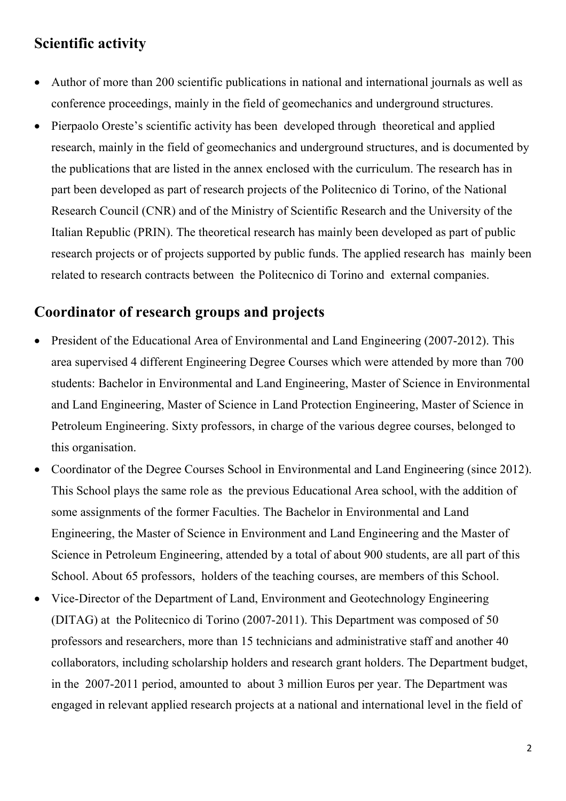#### **Scientific activity**

- Author of more than 200 scientific publications in national and international journals as well as conference proceedings, mainly in the field of geomechanics and underground structures.
- Pierpaolo Oreste's scientific activity has been developed through theoretical and applied research, mainly in the field of geomechanics and underground structures, and is documented by the publications that are listed in the annex enclosed with the curriculum. The research has in part been developed as part of research projects of the Politecnico di Torino, of the National Research Council (CNR) and of the Ministry of Scientific Research and the University of the Italian Republic (PRIN). The theoretical research has mainly been developed as part of public research projects or of projects supported by public funds. The applied research has mainly been related to research contracts between the Politecnico di Torino and external companies.

### **Coordinator of research groups and projects**

- President of the Educational Area of Environmental and Land Engineering (2007-2012). This area supervised 4 different Engineering Degree Courses which were attended by more than 700 students: Bachelor in Environmental and Land Engineering, Master of Science in Environmental and Land Engineering, Master of Science in Land Protection Engineering, Master of Science in Petroleum Engineering. Sixty professors, in charge of the various degree courses, belonged to this organisation.
- Coordinator of the Degree Courses School in Environmental and Land Engineering (since 2012). This School plays the same role as the previous Educational Area school, with the addition of some assignments of the former Faculties. The Bachelor in Environmental and Land Engineering, the Master of Science in Environment and Land Engineering and the Master of Science in Petroleum Engineering, attended by a total of about 900 students, are all part of this School. About 65 professors, holders of the teaching courses, are members of this School.
- Vice-Director of the Department of Land, Environment and Geotechnology Engineering (DITAG) at the Politecnico di Torino (2007-2011). This Department was composed of 50 professors and researchers, more than 15 technicians and administrative staff and another 40 collaborators, including scholarship holders and research grant holders. The Department budget, in the 2007-2011 period, amounted to about 3 million Euros per year. The Department was engaged in relevant applied research projects at a national and international level in the field of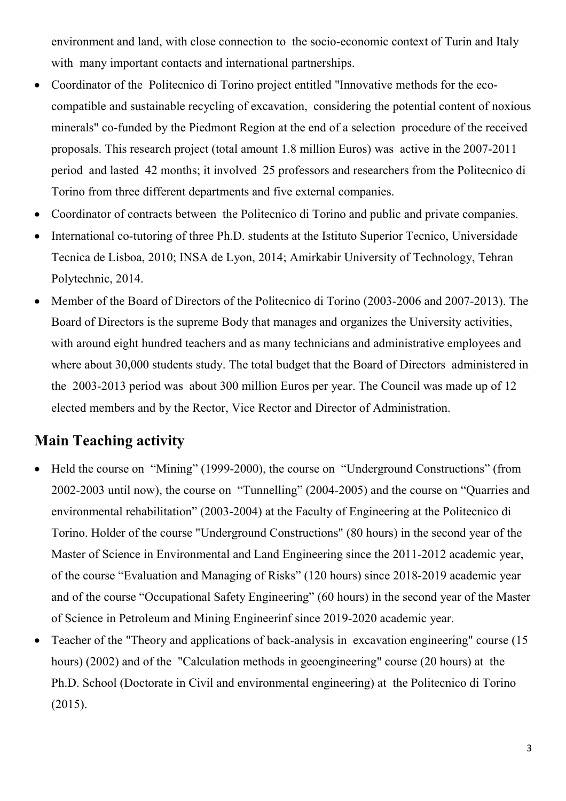environment and land, with close connection to the socio-economic context of Turin and Italy with many important contacts and international partnerships.

- Coordinator of the Politecnico di Torino project entitled "Innovative methods for the ecocompatible and sustainable recycling of excavation, considering the potential content of noxious minerals" co-funded by the Piedmont Region at the end of a selection procedure of the received proposals. This research project (total amount 1.8 million Euros) was active in the 2007-2011 period and lasted 42 months; it involved 25 professors and researchers from the Politecnico di Torino from three different departments and five external companies.
- Coordinator of contracts between the Politecnico di Torino and public and private companies.
- International co-tutoring of three Ph.D. students at the Istituto Superior Tecnico, Universidade Tecnica de Lisboa, 2010; INSA de Lyon, 2014; Amirkabir University of Technology, Tehran Polytechnic, 2014.
- Member of the Board of Directors of the Politecnico di Torino (2003-2006 and 2007-2013). The Board of Directors is the supreme Body that manages and organizes the University activities, with around eight hundred teachers and as many technicians and administrative employees and where about 30,000 students study. The total budget that the Board of Directors administered in the 2003-2013 period was about 300 million Euros per year. The Council was made up of 12 elected members and by the Rector, Vice Rector and Director of Administration.

#### **Main Teaching activity**

- Held the course on "Mining" (1999-2000), the course on "Underground Constructions" (from 2002-2003 until now), the course on "Tunnelling" (2004-2005) and the course on "Quarries and environmental rehabilitation" (2003-2004) at the Faculty of Engineering at the Politecnico di Torino. Holder of the course "Underground Constructions" (80 hours) in the second year of the Master of Science in Environmental and Land Engineering since the 2011-2012 academic year, of the course "Evaluation and Managing of Risks" (120 hours) since 2018-2019 academic year and of the course "Occupational Safety Engineering" (60 hours) in the second year of the Master of Science in Petroleum and Mining Engineerinf since 2019-2020 academic year.
- Teacher of the "Theory and applications of back-analysis in excavation engineering" course (15 hours) (2002) and of the "Calculation methods in geoengineering" course (20 hours) at the Ph.D. School (Doctorate in Civil and environmental engineering) at the Politecnico di Torino (2015).